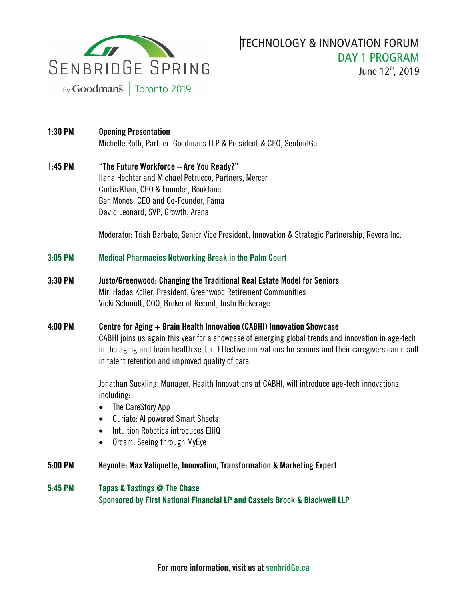

- **1:30 PM Opening Presentation** Michelle Roth, Partner, Goodmans LLP & President & CEO, SenbridGe
- **1:45 PM "The Future Workforce Are You Ready?"** Ilana Hechter and Michael Petrucco, Partners, Mercer Curtis Khan, CEO & Founder, BookJane Ben Mones, CEO and Co-Founder, Fama David Leonard, SVP, Growth, Arena

Moderator: Trish Barbato, Senior Vice President, Innovation & Strategic Partnership, Revera Inc.

#### **3:05 PM Medical Pharmacies Networking Break in the Palm Court**

- **3:30 PM Justo/Greenwood: Changing the Traditional Real Estate Model for Seniors**  Miri Hadas Koller, President, Greenwood Retirement Communities Vicki Schmidt, COO, Broker of Record, Justo Brokerage
- **4:00 PM Centre for Aging + Brain Health Innovation (CABHI) Innovation Showcase**  CABHI joins us again this year for a showcase of emerging global trends and innovation in age-tech in the aging and brain health sector. Effective innovations for seniors and their caregivers can result in talent retention and improved quality of care.

Jonathan Suckling, Manager, Health Innovations at CABHI, will introduce age-tech innovations including:

- The CareStory App
- Curiato: AI powered Smart Sheets
- Intuition Robotics introduces FIIiO
- Orcam: Seeing through MyEye
- **5:00 PM Keynote: Max Valiquette, Innovation, Transformation & Marketing Expert**
- **5:45 PM Tapas & Tastings @ The Chase Sponsored by First National Financial LP and Cassels Brock & Blackwell LLP**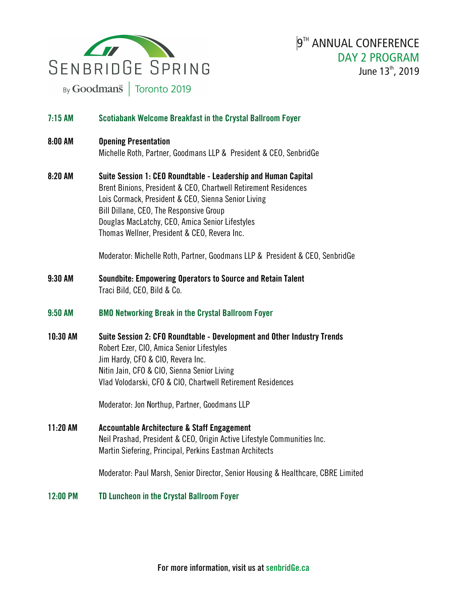

# **7:15 AM Scotiabank Welcome Breakfast in the Crystal Ballroom Foyer**

**8:00 AM Opening Presentation** 

Michelle Roth, Partner, Goodmans LLP & President & CEO, SenbridGe

**8:20 AM Suite Session 1: CEO Roundtable - Leadership and Human Capital**  Brent Binions, President & CEO, Chartwell Retirement Residences Lois Cormack, President & CEO, Sienna Senior Living Bill Dillane, CEO, The Responsive Group Douglas MacLatchy, CEO, Amica Senior Lifestyles Thomas Wellner, President & CEO, Revera Inc.

Moderator: Michelle Roth, Partner, Goodmans LLP & President & CEO, SenbridGe

- **9:30 AM Soundbite: Empowering Operators to Source and Retain Talent**  Traci Bild, CEO, Bild & Co.
- **9:50 AM BMO Networking Break in the Crystal Ballroom Foyer**
- **10:30 AM Suite Session 2: CFO Roundtable Development and Other Industry Trends**  Robert Ezer, CIO, Amica Senior Lifestyles Jim Hardy, CFO & CIO, Revera Inc. Nitin Jain, CFO & CIO, Sienna Senior Living Vlad Volodarski, CFO & CIO, Chartwell Retirement Residences

Moderator: Jon Northup, Partner, Goodmans LLP

**11:20 AM Accountable Architecture & Staff Engagement**  Neil Prashad, President & CEO, Origin Active Lifestyle Communities Inc. Martin Siefering, Principal, Perkins Eastman Architects

Moderator: Paul Marsh, Senior Director, Senior Housing & Healthcare, CBRE Limited

**12:00 PM TD Luncheon in the Crystal Ballroom Foyer**